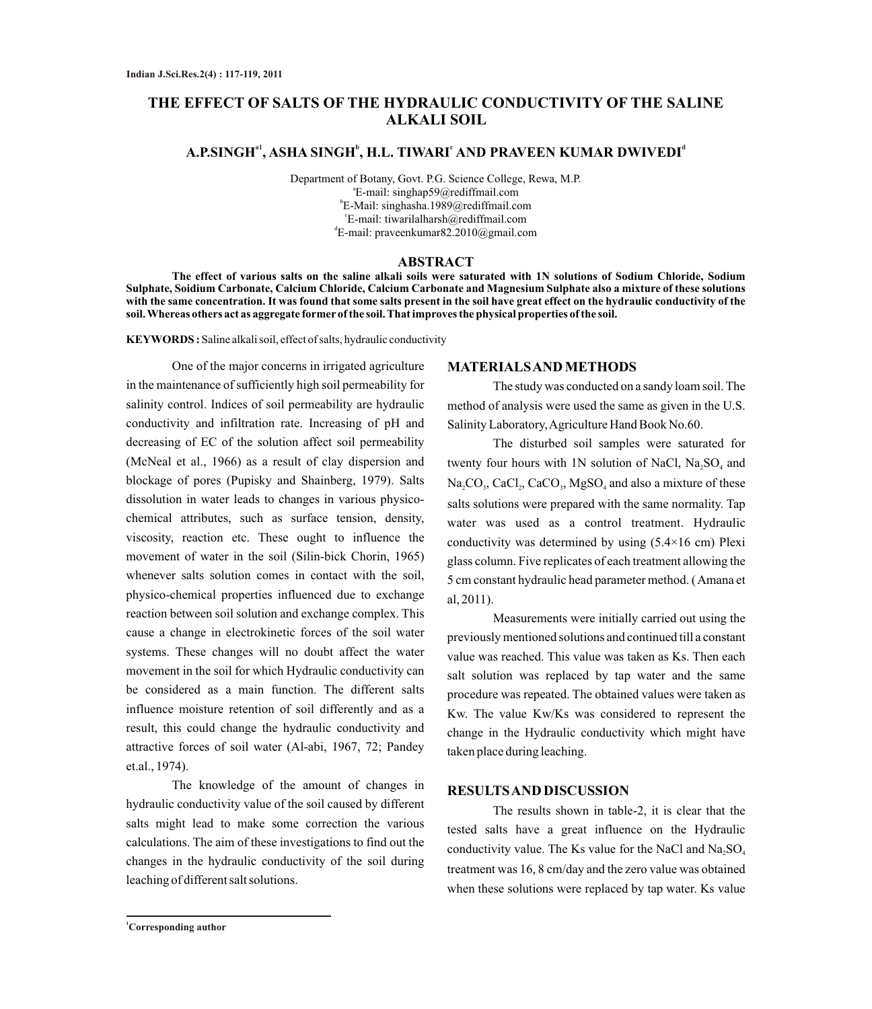# **THE EFFECT OF SALTS OF THE HYDRAULIC CONDUCTIVITY OF THE SALINE ALKALI SOIL**

## $\mathbf{A}.\mathbf{P}.\mathbf{SINGH}^{a1}, \mathbf{ASHA} \ \mathbf{SINGH}^{b}, \ \mathbf{H}.\mathbf{L}. \ \mathbf{TIWARI}^{c} \ \mathbf{AND} \ \mathbf{PRAVEEN} \ \mathbf{KUMAR} \ \mathbf{DWIVEDI}^{d1}$

Department of Botany, Govt. P.G. Science College, Rewa, M.P. a E-mail: singhap59@rediffmail.com b E-Mail: singhasha.1989@rediffmail.com c E-mail: tiwarilalharsh@rediffmail.com d E-mail: praveenkumar82.2010@gmail.com

#### **ABSTRACT**

**The effect of various salts on the saline alkali soils were saturated with 1N solutions of Sodium Chloride, Sodium Sulphate, Soidium Carbonate, Calcium Chloride, Calcium Carbonate and Magnesium Sulphate also a mixture of these solutions with the same concentration. It was found that some salts present in the soil have great effect on the hydraulic conductivity of the soil. Whereas others act as aggregate former of the soil. That improves the physical properties of the soil.** 

**KEYWORDS :** Saline alkali soil, effect of salts, hydraulic conductivity

One of the major concerns in irrigated agriculture in the maintenance of sufficiently high soil permeability for salinity control. Indices of soil permeability are hydraulic conductivity and infiltration rate. Increasing of pH and decreasing of EC of the solution affect soil permeability (McNeal et al., 1966) as a result of clay dispersion and blockage of pores (Pupisky and Shainberg, 1979). Salts dissolution in water leads to changes in various physicochemical attributes, such as surface tension, density, viscosity, reaction etc. These ought to influence the movement of water in the soil (Silin-bick Chorin, 1965) whenever salts solution comes in contact with the soil, physico-chemical properties influenced due to exchange reaction between soil solution and exchange complex. This cause a change in electrokinetic forces of the soil water systems. These changes will no doubt affect the water movement in the soil for which Hydraulic conductivity can be considered as a main function. The different salts influence moisture retention of soil differently and as a result, this could change the hydraulic conductivity and attractive forces of soil water (Al-abi, 1967, 72; Pandey et.al., 1974).

The knowledge of the amount of changes in hydraulic conductivity value of the soil caused by different salts might lead to make some correction the various calculations. The aim of these investigations to find out the changes in the hydraulic conductivity of the soil during leaching of different salt solutions.

#### **MATERIALS AND METHODS**

The study was conducted on a sandy loam soil. The method of analysis were used the same as given in the U.S. Salinity Laboratory, Agriculture Hand Book No.60.

The disturbed soil samples were saturated for twenty four hours with 1N solution of NaCl,  $Na<sub>2</sub>SO<sub>4</sub>$  and  $Na, CO_3, CaCl<sub>2</sub>, CaCO<sub>3</sub>, MgSO<sub>4</sub>$  and also a mixture of these salts solutions were prepared with the same normality. Tap water was used as a control treatment. Hydraulic conductivity was determined by using (5.4×16 cm) Plexi glass column. Five replicates of each treatment allowing the 5 cm constant hydraulic head parameter method. ( Amana et al, 2011).

Measurements were initially carried out using the previously mentioned solutions and continued till a constant value was reached. This value was taken as Ks. Then each salt solution was replaced by tap water and the same procedure was repeated. The obtained values were taken as Kw. The value Kw/Ks was considered to represent the change in the Hydraulic conductivity which might have taken place during leaching.

#### **RESULTS AND DISCUSSION**

The results shown in table-2, it is clear that the tested salts have a great influence on the Hydraulic conductivity value. The Ks value for the NaCl and  $Na, SO<sub>4</sub>$ treatment was 16, 8 cm/day and the zero value was obtained when these solutions were replaced by tap water. Ks value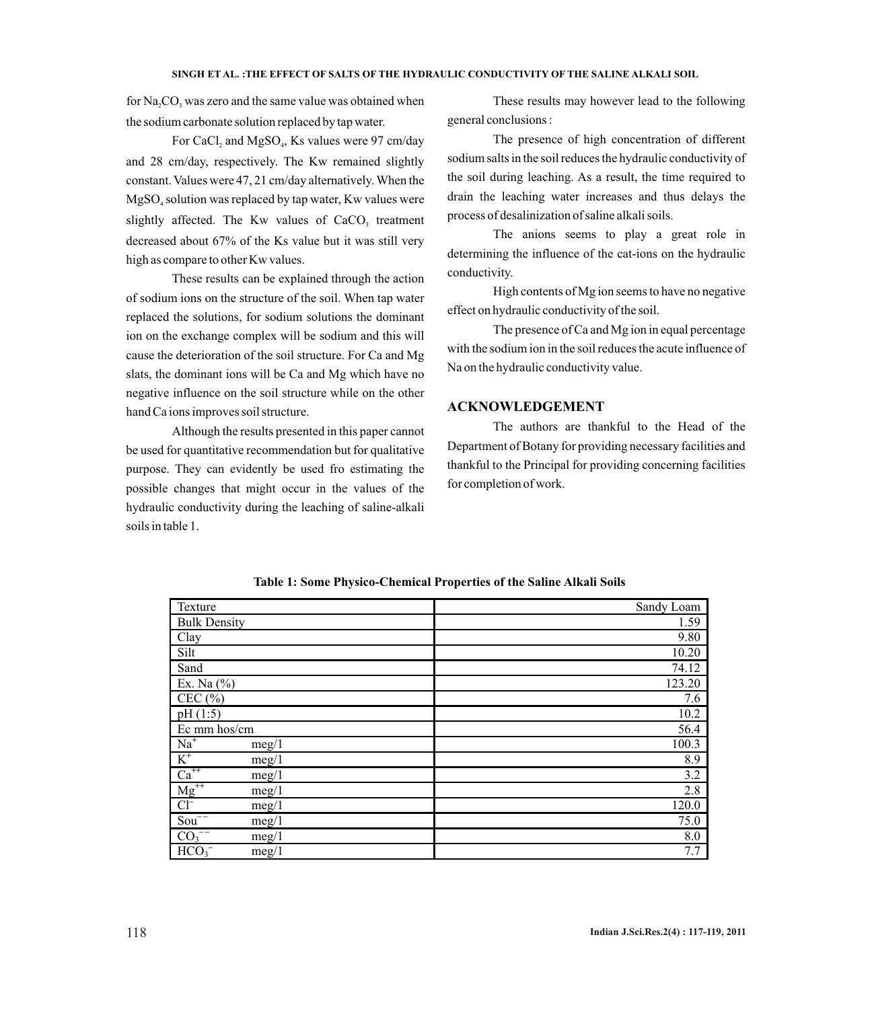for  $Na, CO$ , was zero and the same value was obtained when the sodium carbonate solution replaced by tap water.

For CaCl, and  $MgSO_4$ , Ks values were 97 cm/day and 28 cm/day, respectively. The Kw remained slightly constant. Values were 47, 21 cm/day alternatively. When the  $MgSO<sub>4</sub>$  solution was replaced by tap water, Kw values were slightly affected. The Kw values of  $CaCO<sub>3</sub>$  treatment decreased about 67% of the Ks value but it was still very high as compare to other Kw values.

These results can be explained through the action of sodium ions on the structure of the soil. When tap water replaced the solutions, for sodium solutions the dominant ion on the exchange complex will be sodium and this will cause the deterioration of the soil structure. For Ca and Mg slats, the dominant ions will be Ca and Mg which have no negative influence on the soil structure while on the other hand Ca ions improves soil structure.

Although the results presented in this paper cannot be used for quantitative recommendation but for qualitative purpose. They can evidently be used fro estimating the possible changes that might occur in the values of the hydraulic conductivity during the leaching of saline-alkali soils in table 1.

These results may however lead to the following general conclusions :

The presence of high concentration of different sodium salts in the soil reduces the hydraulic conductivity of the soil during leaching. As a result, the time required to drain the leaching water increases and thus delays the process of desalinization of saline alkali soils.

The anions seems to play a great role in determining the influence of the cat-ions on the hydraulic conductivity.

High contents of Mg ion seems to have no negative effect on hydraulic conductivity of the soil.

The presence of Ca and Mg ion in equal percentage with the sodium ion in the soil reduces the acute influence of Na on the hydraulic conductivity value.

#### **ACKNOWLEDGEMENT**

The authors are thankful to the Head of the Department of Botany for providing necessary facilities and thankful to the Principal for providing concerning facilities for completion of work.

| Texture                         | Sandy Loam |
|---------------------------------|------------|
| <b>Bulk Density</b>             | 1.59       |
| Clay                            | 9.80       |
| Silt                            | 10.20      |
| Sand                            | 74.12      |
| Ex. Na $(\% )$                  | 123.20     |
| CEC $(\% )$                     | 7.6        |
| pH(1:5)                         | 10.2       |
| Ec mm hos/cm                    | 56.4       |
| $Na+$<br>meg/1                  | 100.3      |
| $K^+$<br>meg/1                  | 8.9        |
| $\mathrm{Ca}^{++}$<br>meg/1     | 3.2        |
| $Mg^{++}$<br>meg/1              | 2.8        |
| $Cl^-$<br>meg/1                 | 120.0      |
| $Sou-$<br>meg/1                 | 75.0       |
| $\overline{CO_3}^{-1}$<br>meg/1 | 8.0        |
| HCO <sub>3</sub><br>meg/1       | 7.7        |

**Table 1: Some Physico-Chemical Properties of the Saline Alkali Soils**